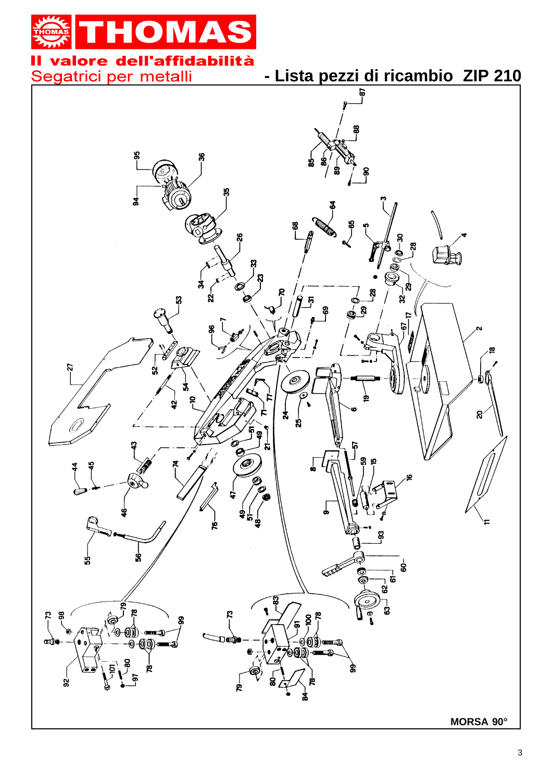# DM **A**

### Il valore dell'affidabilità Segatrici per metalli

**- Lista pezzi di ricambio ZIP 210**

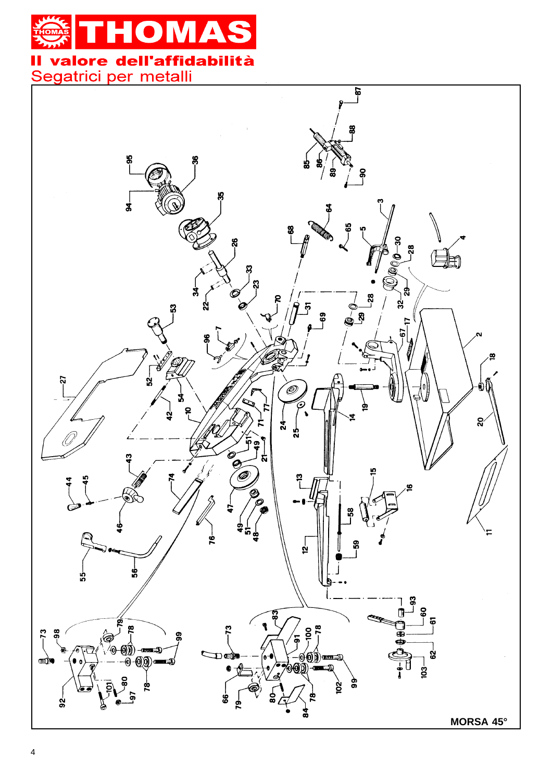

Segatrici per metalli

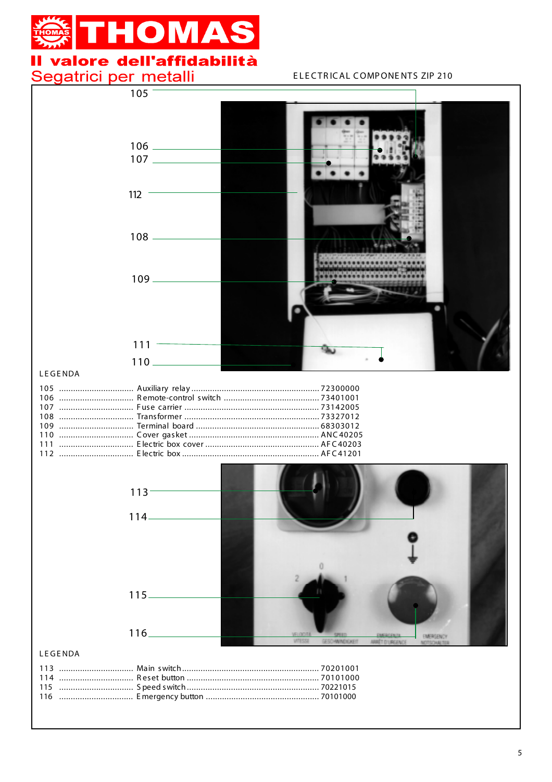## **HOMAS** П II valore dell'affidabilità

# Segatrici per metalli

#### ELECTRICAL COMPONENTS ZIP 210